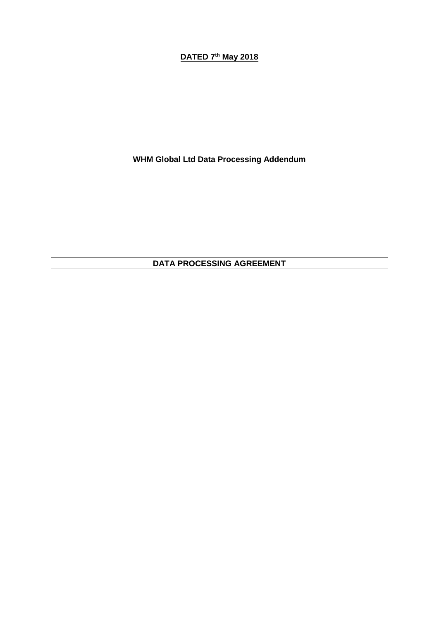# **DATED 7 th May 2018**

**WHM Global Ltd Data Processing Addendum**

**DATA PROCESSING AGREEMENT**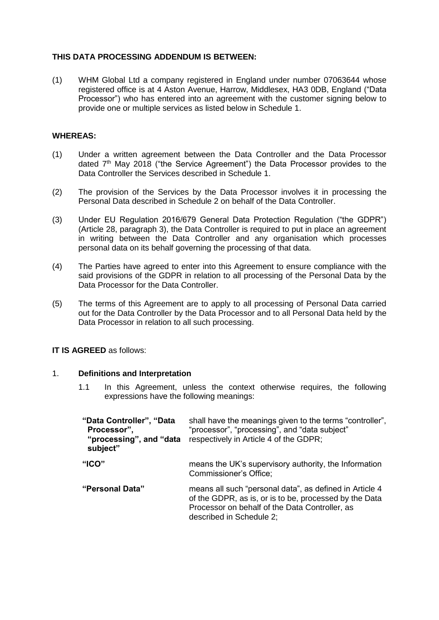# **THIS DATA PROCESSING ADDENDUM IS BETWEEN:**

(1) WHM Global Ltd a company registered in England under number 07063644 whose registered office is at 4 Aston Avenue, Harrow, Middlesex, HA3 0DB, England ("Data Processor") who has entered into an agreement with the customer signing below to provide one or multiple services as listed below in Schedule 1.

## **WHEREAS:**

- (1) Under a written agreement between the Data Controller and the Data Processor dated  $7<sup>th</sup>$  May 2018 ("the Service Agreement") the Data Processor provides to the Data Controller the Services described in Schedule 1.
- (2) The provision of the Services by the Data Processor involves it in processing the Personal Data described in Schedule 2 on behalf of the Data Controller.
- (3) Under EU Regulation 2016/679 General Data Protection Regulation ("the GDPR") (Article 28, paragraph 3), the Data Controller is required to put in place an agreement in writing between the Data Controller and any organisation which processes personal data on its behalf governing the processing of that data.
- (4) The Parties have agreed to enter into this Agreement to ensure compliance with the said provisions of the GDPR in relation to all processing of the Personal Data by the Data Processor for the Data Controller.
- (5) The terms of this Agreement are to apply to all processing of Personal Data carried out for the Data Controller by the Data Processor and to all Personal Data held by the Data Processor in relation to all such processing.

## **IT IS AGREED** as follows:

#### 1. **Definitions and Interpretation**

1.1 In this Agreement, unless the context otherwise requires, the following expressions have the following meanings:

| "Data Controller", "Data<br>Processor",<br>"processing", and "data"<br>subject" | shall have the meanings given to the terms "controller",<br>"processor", "processing", and "data subject"<br>respectively in Article 4 of the GDPR;                                             |
|---------------------------------------------------------------------------------|-------------------------------------------------------------------------------------------------------------------------------------------------------------------------------------------------|
| "ICO"                                                                           | means the UK's supervisory authority, the Information<br>Commissioner's Office;                                                                                                                 |
| "Personal Data"                                                                 | means all such "personal data", as defined in Article 4<br>of the GDPR, as is, or is to be, processed by the Data<br>Processor on behalf of the Data Controller, as<br>described in Schedule 2; |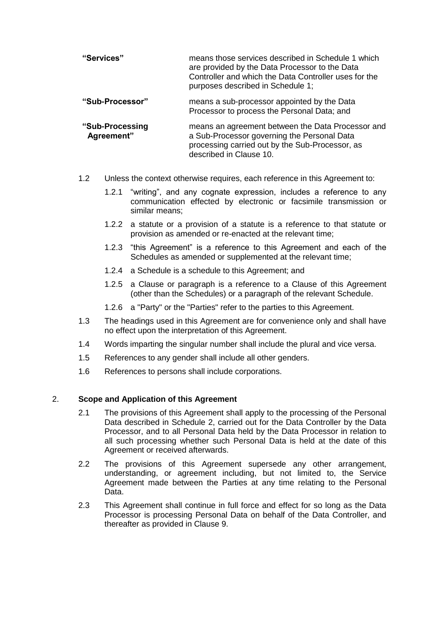| "Services"                    | means those services described in Schedule 1 which<br>are provided by the Data Processor to the Data<br>Controller and which the Data Controller uses for the<br>purposes described in Schedule 1; |
|-------------------------------|----------------------------------------------------------------------------------------------------------------------------------------------------------------------------------------------------|
| "Sub-Processor"               | means a sub-processor appointed by the Data<br>Processor to process the Personal Data; and                                                                                                         |
| "Sub-Processing<br>Agreement" | means an agreement between the Data Processor and<br>a Sub-Processor governing the Personal Data<br>processing carried out by the Sub-Processor, as<br>described in Clause 10.                     |

- 1.2 Unless the context otherwise requires, each reference in this Agreement to:
	- 1.2.1 "writing", and any cognate expression, includes a reference to any communication effected by electronic or facsimile transmission or similar means;
	- 1.2.2 a statute or a provision of a statute is a reference to that statute or provision as amended or re-enacted at the relevant time;
	- 1.2.3 "this Agreement" is a reference to this Agreement and each of the Schedules as amended or supplemented at the relevant time;
	- 1.2.4 a Schedule is a schedule to this Agreement; and
	- 1.2.5 a Clause or paragraph is a reference to a Clause of this Agreement (other than the Schedules) or a paragraph of the relevant Schedule.
	- 1.2.6 a "Party" or the "Parties" refer to the parties to this Agreement.
- 1.3 The headings used in this Agreement are for convenience only and shall have no effect upon the interpretation of this Agreement.
- 1.4 Words imparting the singular number shall include the plural and vice versa.
- 1.5 References to any gender shall include all other genders.
- 1.6 References to persons shall include corporations.

#### 2. **Scope and Application of this Agreement**

- 2.1 The provisions of this Agreement shall apply to the processing of the Personal Data described in Schedule 2, carried out for the Data Controller by the Data Processor, and to all Personal Data held by the Data Processor in relation to all such processing whether such Personal Data is held at the date of this Agreement or received afterwards.
- 2.2 The provisions of this Agreement supersede any other arrangement, understanding, or agreement including, but not limited to, the Service Agreement made between the Parties at any time relating to the Personal Data.
- 2.3 This Agreement shall continue in full force and effect for so long as the Data Processor is processing Personal Data on behalf of the Data Controller, and thereafter as provided in Clause 9.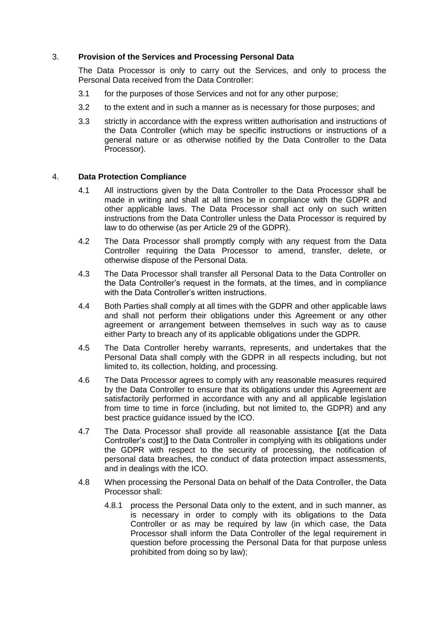## 3. **Provision of the Services and Processing Personal Data**

The Data Processor is only to carry out the Services, and only to process the Personal Data received from the Data Controller:

- 3.1 for the purposes of those Services and not for any other purpose;
- 3.2 to the extent and in such a manner as is necessary for those purposes; and
- 3.3 strictly in accordance with the express written authorisation and instructions of the Data Controller (which may be specific instructions or instructions of a general nature or as otherwise notified by the Data Controller to the Data Processor).

#### 4. **Data Protection Compliance**

- 4.1 All instructions given by the Data Controller to the Data Processor shall be made in writing and shall at all times be in compliance with the GDPR and other applicable laws. The Data Processor shall act only on such written instructions from the Data Controller unless the Data Processor is required by law to do otherwise (as per Article 29 of the GDPR).
- 4.2 The Data Processor shall promptly comply with any request from the Data Controller requiring the Data Processor to amend, transfer, delete, or otherwise dispose of the Personal Data.
- 4.3 The Data Processor shall transfer all Personal Data to the Data Controller on the Data Controller's request in the formats, at the times, and in compliance with the Data Controller's written instructions.
- 4.4 Both Parties shall comply at all times with the GDPR and other applicable laws and shall not perform their obligations under this Agreement or any other agreement or arrangement between themselves in such way as to cause either Party to breach any of its applicable obligations under the GDPR.
- 4.5 The Data Controller hereby warrants, represents, and undertakes that the Personal Data shall comply with the GDPR in all respects including, but not limited to, its collection, holding, and processing.
- 4.6 The Data Processor agrees to comply with any reasonable measures required by the Data Controller to ensure that its obligations under this Agreement are satisfactorily performed in accordance with any and all applicable legislation from time to time in force (including, but not limited to, the GDPR) and any best practice guidance issued by the ICO.
- 4.7 The Data Processor shall provide all reasonable assistance **[**(at the Data Controller's cost)**]** to the Data Controller in complying with its obligations under the GDPR with respect to the security of processing, the notification of personal data breaches, the conduct of data protection impact assessments, and in dealings with the ICO.
- 4.8 When processing the Personal Data on behalf of the Data Controller, the Data Processor shall:
	- 4.8.1 process the Personal Data only to the extent, and in such manner, as is necessary in order to comply with its obligations to the Data Controller or as may be required by law (in which case, the Data Processor shall inform the Data Controller of the legal requirement in question before processing the Personal Data for that purpose unless prohibited from doing so by law);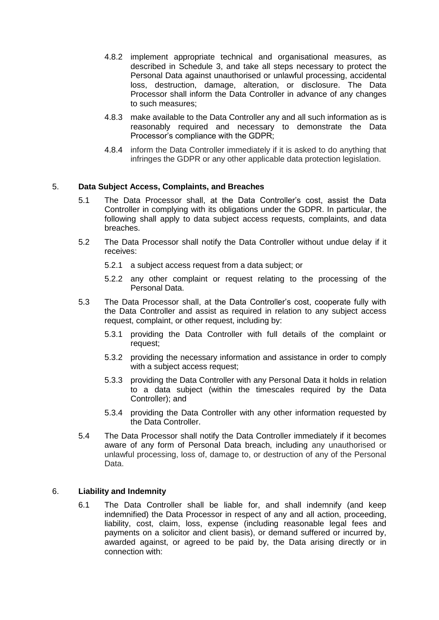- 4.8.2 implement appropriate technical and organisational measures, as described in Schedule 3, and take all steps necessary to protect the Personal Data against unauthorised or unlawful processing, accidental loss, destruction, damage, alteration, or disclosure. The Data Processor shall inform the Data Controller in advance of any changes to such measures;
- 4.8.3 make available to the Data Controller any and all such information as is reasonably required and necessary to demonstrate the Data Processor's compliance with the GDPR;
- 4.8.4 inform the Data Controller immediately if it is asked to do anything that infringes the GDPR or any other applicable data protection legislation.

#### 5. **Data Subject Access, Complaints, and Breaches**

- 5.1 The Data Processor shall, at the Data Controller's cost, assist the Data Controller in complying with its obligations under the GDPR. In particular, the following shall apply to data subject access requests, complaints, and data breaches.
- 5.2 The Data Processor shall notify the Data Controller without undue delay if it receives:
	- 5.2.1 a subject access request from a data subject; or
	- 5.2.2 any other complaint or request relating to the processing of the Personal Data.
- 5.3 The Data Processor shall, at the Data Controller's cost, cooperate fully with the Data Controller and assist as required in relation to any subject access request, complaint, or other request, including by:
	- 5.3.1 providing the Data Controller with full details of the complaint or request;
	- 5.3.2 providing the necessary information and assistance in order to comply with a subject access request;
	- 5.3.3 providing the Data Controller with any Personal Data it holds in relation to a data subject (within the timescales required by the Data Controller); and
	- 5.3.4 providing the Data Controller with any other information requested by the Data Controller.
- 5.4 The Data Processor shall notify the Data Controller immediately if it becomes aware of any form of Personal Data breach, including any unauthorised or unlawful processing, loss of, damage to, or destruction of any of the Personal Data.

#### 6. **Liability and Indemnity**

6.1 The Data Controller shall be liable for, and shall indemnify (and keep indemnified) the Data Processor in respect of any and all action, proceeding, liability, cost, claim, loss, expense (including reasonable legal fees and payments on a solicitor and client basis), or demand suffered or incurred by, awarded against, or agreed to be paid by, the Data arising directly or in connection with: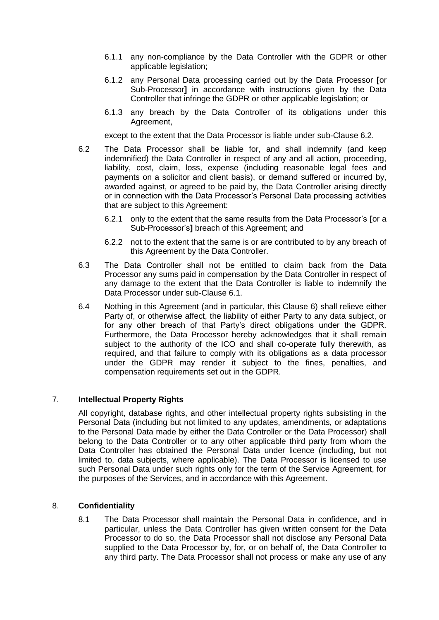- 6.1.1 any non-compliance by the Data Controller with the GDPR or other applicable legislation;
- 6.1.2 any Personal Data processing carried out by the Data Processor **[**or Sub-Processor**]** in accordance with instructions given by the Data Controller that infringe the GDPR or other applicable legislation; or
- 6.1.3 any breach by the Data Controller of its obligations under this Agreement,

except to the extent that the Data Processor is liable under sub-Clause 6.2.

- 6.2 The Data Processor shall be liable for, and shall indemnify (and keep indemnified) the Data Controller in respect of any and all action, proceeding, liability, cost, claim, loss, expense (including reasonable legal fees and payments on a solicitor and client basis), or demand suffered or incurred by, awarded against, or agreed to be paid by, the Data Controller arising directly or in connection with the Data Processor's Personal Data processing activities that are subject to this Agreement:
	- 6.2.1 only to the extent that the same results from the Data Processor's **[**or a Sub-Processor's**]** breach of this Agreement; and
	- 6.2.2 not to the extent that the same is or are contributed to by any breach of this Agreement by the Data Controller.
- 6.3 The Data Controller shall not be entitled to claim back from the Data Processor any sums paid in compensation by the Data Controller in respect of any damage to the extent that the Data Controller is liable to indemnify the Data Processor under sub-Clause 6.1.
- 6.4 Nothing in this Agreement (and in particular, this Clause 6) shall relieve either Party of, or otherwise affect, the liability of either Party to any data subject, or for any other breach of that Party's direct obligations under the GDPR. Furthermore, the Data Processor hereby acknowledges that it shall remain subject to the authority of the ICO and shall co-operate fully therewith, as required, and that failure to comply with its obligations as a data processor under the GDPR may render it subject to the fines, penalties, and compensation requirements set out in the GDPR.

#### 7. **Intellectual Property Rights**

All copyright, database rights, and other intellectual property rights subsisting in the Personal Data (including but not limited to any updates, amendments, or adaptations to the Personal Data made by either the Data Controller or the Data Processor) shall belong to the Data Controller or to any other applicable third party from whom the Data Controller has obtained the Personal Data under licence (including, but not limited to, data subjects, where applicable). The Data Processor is licensed to use such Personal Data under such rights only for the term of the Service Agreement, for the purposes of the Services, and in accordance with this Agreement.

#### 8. **Confidentiality**

8.1 The Data Processor shall maintain the Personal Data in confidence, and in particular, unless the Data Controller has given written consent for the Data Processor to do so, the Data Processor shall not disclose any Personal Data supplied to the Data Processor by, for, or on behalf of, the Data Controller to any third party. The Data Processor shall not process or make any use of any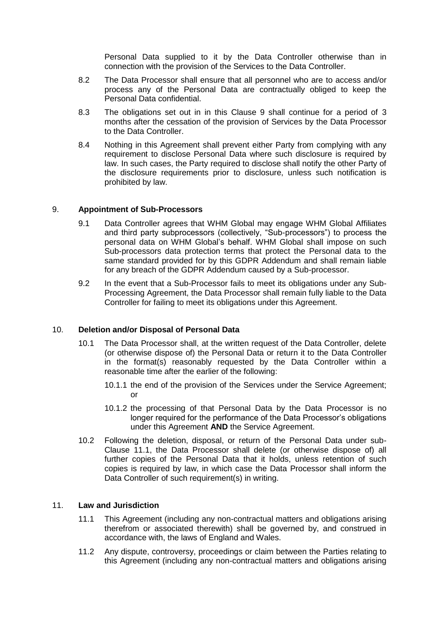Personal Data supplied to it by the Data Controller otherwise than in connection with the provision of the Services to the Data Controller.

- 8.2 The Data Processor shall ensure that all personnel who are to access and/or process any of the Personal Data are contractually obliged to keep the Personal Data confidential.
- 8.3 The obligations set out in in this Clause 9 shall continue for a period of 3 months after the cessation of the provision of Services by the Data Processor to the Data Controller.
- 8.4 Nothing in this Agreement shall prevent either Party from complying with any requirement to disclose Personal Data where such disclosure is required by law. In such cases, the Party required to disclose shall notify the other Party of the disclosure requirements prior to disclosure, unless such notification is prohibited by law.

#### 9. **Appointment of Sub-Processors**

- 9.1 Data Controller agrees that WHM Global may engage WHM Global Affiliates and third party subprocessors (collectively, "Sub-processors") to process the personal data on WHM Global's behalf. WHM Global shall impose on such Sub-processors data protection terms that protect the Personal data to the same standard provided for by this GDPR Addendum and shall remain liable for any breach of the GDPR Addendum caused by a Sub-processor.
- 9.2 In the event that a Sub-Processor fails to meet its obligations under any Sub-Processing Agreement, the Data Processor shall remain fully liable to the Data Controller for failing to meet its obligations under this Agreement.

#### 10. **Deletion and/or Disposal of Personal Data**

- 10.1 The Data Processor shall, at the written request of the Data Controller, delete (or otherwise dispose of) the Personal Data or return it to the Data Controller in the format(s) reasonably requested by the Data Controller within a reasonable time after the earlier of the following:
	- 10.1.1 the end of the provision of the Services under the Service Agreement; or
	- 10.1.2 the processing of that Personal Data by the Data Processor is no longer required for the performance of the Data Processor's obligations under this Agreement **AND** the Service Agreement.
- 10.2 Following the deletion, disposal, or return of the Personal Data under sub-Clause 11.1, the Data Processor shall delete (or otherwise dispose of) all further copies of the Personal Data that it holds, unless retention of such copies is required by law, in which case the Data Processor shall inform the Data Controller of such requirement(s) in writing.

#### 11. **Law and Jurisdiction**

- 11.1 This Agreement (including any non-contractual matters and obligations arising therefrom or associated therewith) shall be governed by, and construed in accordance with, the laws of England and Wales.
- 11.2 Any dispute, controversy, proceedings or claim between the Parties relating to this Agreement (including any non-contractual matters and obligations arising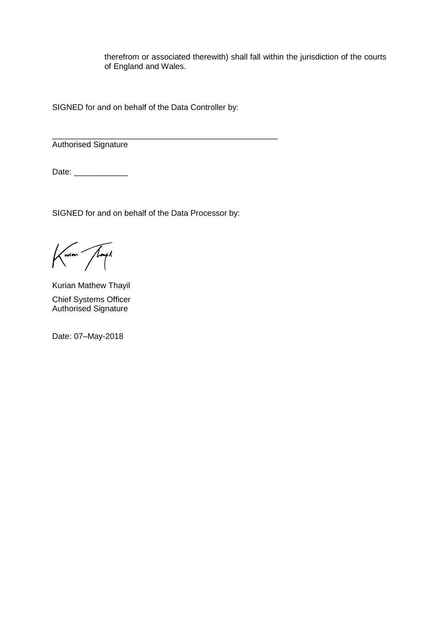therefrom or associated therewith) shall fall within the jurisdiction of the courts of England and Wales.

SIGNED for and on behalf of the Data Controller by:

\_\_\_\_\_\_\_\_\_\_\_\_\_\_\_\_\_\_\_\_\_\_\_\_\_\_\_\_\_\_\_\_\_\_\_\_\_\_\_\_\_\_\_\_\_\_\_\_\_\_ Authorised Signature

Date: \_\_\_\_\_\_\_\_\_\_\_\_\_\_

SIGNED for and on behalf of the Data Processor by:

Kurian Thayil

Kurian Mathew Thayil Chief Systems Officer Authorised Signature

Date: 07–May-2018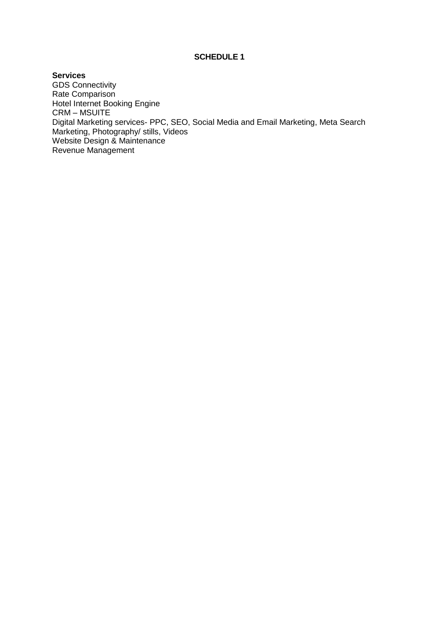#### **SCHEDULE 1**

**Services** GDS Connectivity Rate Comparison Hotel Internet Booking Engine CRM – MSUITE Digital Marketing services- PPC, SEO, Social Media and Email Marketing, Meta Search Marketing, Photography/ stills, Videos Website Design & Maintenance Revenue Management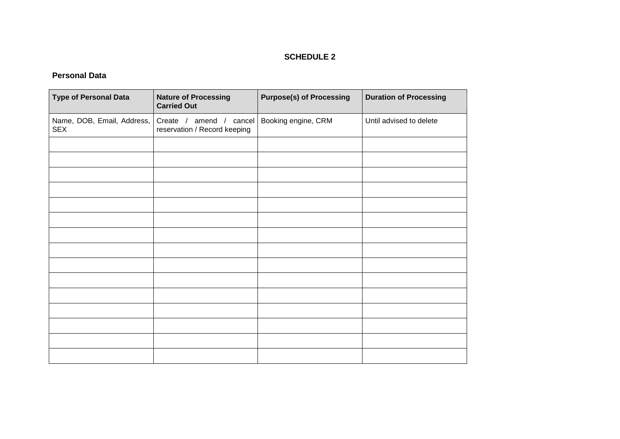# **SCHEDULE 2**

# **Personal Data**

| <b>Type of Personal Data</b>             | <b>Nature of Processing</b><br><b>Carried Out</b>            | <b>Purpose(s) of Processing</b> | <b>Duration of Processing</b> |
|------------------------------------------|--------------------------------------------------------------|---------------------------------|-------------------------------|
| Name, DOB, Email, Address,<br><b>SEX</b> | amend / cancel<br>Create $/$<br>reservation / Record keeping | Booking engine, CRM             | Until advised to delete       |
|                                          |                                                              |                                 |                               |
|                                          |                                                              |                                 |                               |
|                                          |                                                              |                                 |                               |
|                                          |                                                              |                                 |                               |
|                                          |                                                              |                                 |                               |
|                                          |                                                              |                                 |                               |
|                                          |                                                              |                                 |                               |
|                                          |                                                              |                                 |                               |
|                                          |                                                              |                                 |                               |
|                                          |                                                              |                                 |                               |
|                                          |                                                              |                                 |                               |
|                                          |                                                              |                                 |                               |
|                                          |                                                              |                                 |                               |
|                                          |                                                              |                                 |                               |
|                                          |                                                              |                                 |                               |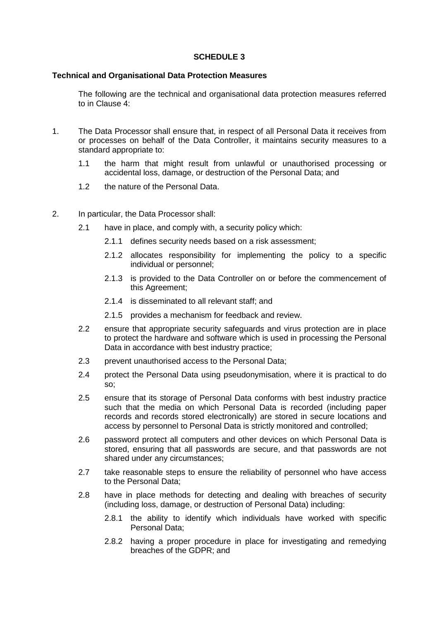#### **SCHEDULE 3**

#### **Technical and Organisational Data Protection Measures**

The following are the technical and organisational data protection measures referred to in Clause 4:

- 1. The Data Processor shall ensure that, in respect of all Personal Data it receives from or processes on behalf of the Data Controller, it maintains security measures to a standard appropriate to:
	- 1.1 the harm that might result from unlawful or unauthorised processing or accidental loss, damage, or destruction of the Personal Data; and
	- 1.2 the nature of the Personal Data.
- 2. In particular, the Data Processor shall:
	- 2.1 have in place, and comply with, a security policy which:
		- 2.1.1 defines security needs based on a risk assessment;
		- 2.1.2 allocates responsibility for implementing the policy to a specific individual or personnel;
		- 2.1.3 is provided to the Data Controller on or before the commencement of this Agreement;
		- 2.1.4 is disseminated to all relevant staff; and
		- 2.1.5 provides a mechanism for feedback and review.
	- 2.2 ensure that appropriate security safeguards and virus protection are in place to protect the hardware and software which is used in processing the Personal Data in accordance with best industry practice;
	- 2.3 prevent unauthorised access to the Personal Data;
	- 2.4 protect the Personal Data using pseudonymisation, where it is practical to do so;
	- 2.5 ensure that its storage of Personal Data conforms with best industry practice such that the media on which Personal Data is recorded (including paper records and records stored electronically) are stored in secure locations and access by personnel to Personal Data is strictly monitored and controlled;
	- 2.6 password protect all computers and other devices on which Personal Data is stored, ensuring that all passwords are secure, and that passwords are not shared under any circumstances;
	- 2.7 take reasonable steps to ensure the reliability of personnel who have access to the Personal Data;
	- 2.8 have in place methods for detecting and dealing with breaches of security (including loss, damage, or destruction of Personal Data) including:
		- 2.8.1 the ability to identify which individuals have worked with specific Personal Data;
		- 2.8.2 having a proper procedure in place for investigating and remedying breaches of the GDPR; and